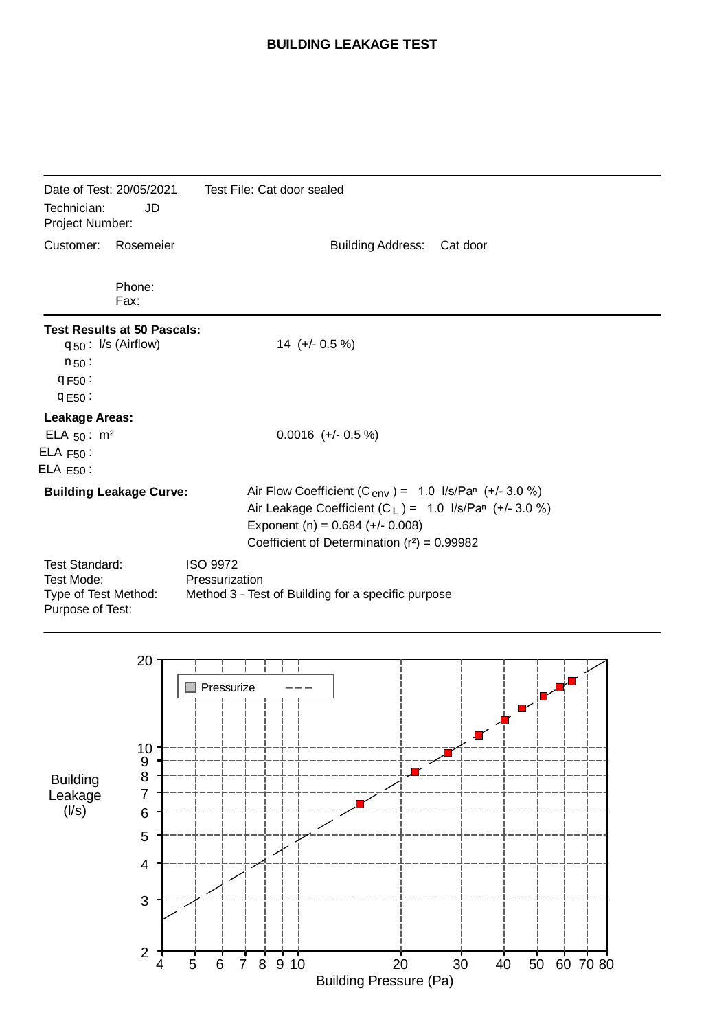## **BUILDING LEAKAGE TEST**

| Date of Test: 20/05/2021<br>Technician:<br>JD<br>Project Number:                |                                                                | Test File: Cat door sealed                                                                                                                                                                                                  |
|---------------------------------------------------------------------------------|----------------------------------------------------------------|-----------------------------------------------------------------------------------------------------------------------------------------------------------------------------------------------------------------------------|
| Customer:                                                                       | Rosemeier                                                      | <b>Building Address:</b><br>Cat door                                                                                                                                                                                        |
|                                                                                 | Phone:<br>Fax:                                                 |                                                                                                                                                                                                                             |
| $n_{50}$ :<br>9F50:<br>9E50:                                                    | <b>Test Results at 50 Pascals:</b><br>$q_{50}$ : I/s (Airflow) | $14 (+/- 0.5 %)$                                                                                                                                                                                                            |
| <b>Leakage Areas:</b><br>ELA $50: m^2$<br>$ELA F50$ :<br>$ELA E50$ :            |                                                                | $0.0016$ (+/- 0.5 %)                                                                                                                                                                                                        |
| <b>Building Leakage Curve:</b>                                                  |                                                                | Air Flow Coefficient (C <sub>env</sub> ) = $1.0$ I/s/Pan (+/- 3.0 %)<br>Air Leakage Coefficient $(C_L) = 1.0$ I/s/Pan $(+/- 3.0 %)$<br>Exponent (n) = $0.684$ (+/- 0.008)<br>Coefficient of Determination $(r^2) = 0.99982$ |
| <b>Test Standard:</b><br>Test Mode:<br>Type of Test Method:<br>Purpose of Test: |                                                                | <b>ISO 9972</b><br>Pressurization<br>Method 3 - Test of Building for a specific purpose                                                                                                                                     |

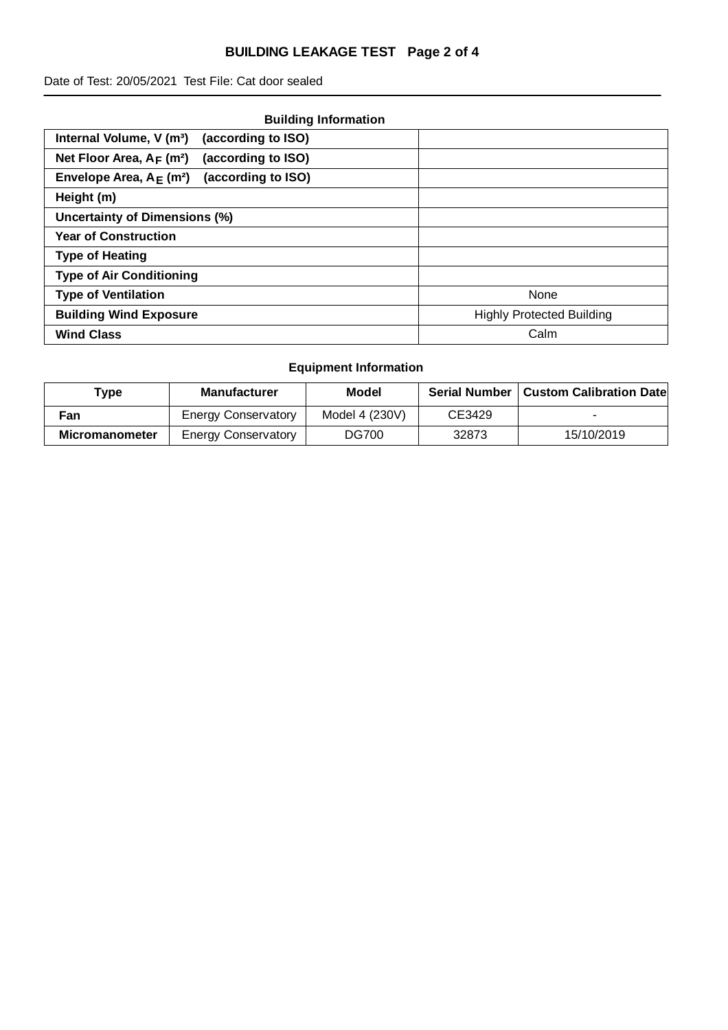## **BUILDING LEAKAGE TEST Page 2 of 4**

Date of Test: 20/05/2021 Test File: Cat door sealed

| <b>Building Information</b>                                   |                                  |
|---------------------------------------------------------------|----------------------------------|
| (according to ISO)<br>Internal Volume, V (m <sup>3</sup> )    |                                  |
| Net Floor Area, $A_F$ (m <sup>2</sup> )<br>(according to ISO) |                                  |
| (according to ISO)<br>Envelope Area, $A_F$ (m <sup>2</sup> )  |                                  |
| Height (m)                                                    |                                  |
| <b>Uncertainty of Dimensions (%)</b>                          |                                  |
| <b>Year of Construction</b>                                   |                                  |
| <b>Type of Heating</b>                                        |                                  |
| <b>Type of Air Conditioning</b>                               |                                  |
| <b>Type of Ventilation</b>                                    | None                             |
| <b>Building Wind Exposure</b>                                 | <b>Highly Protected Building</b> |
| <b>Wind Class</b>                                             | Calm                             |

## **Equipment Information**

| Type           | <b>Manufacturer</b>        | Model          | <b>Serial Number</b> | <b>Custom Calibration Date</b> |
|----------------|----------------------------|----------------|----------------------|--------------------------------|
| Fan            | <b>Energy Conservatory</b> | Model 4 (230V) | CE3429               |                                |
| Micromanometer | <b>Energy Conservatory</b> | DG700          | 32873                | 15/10/2019                     |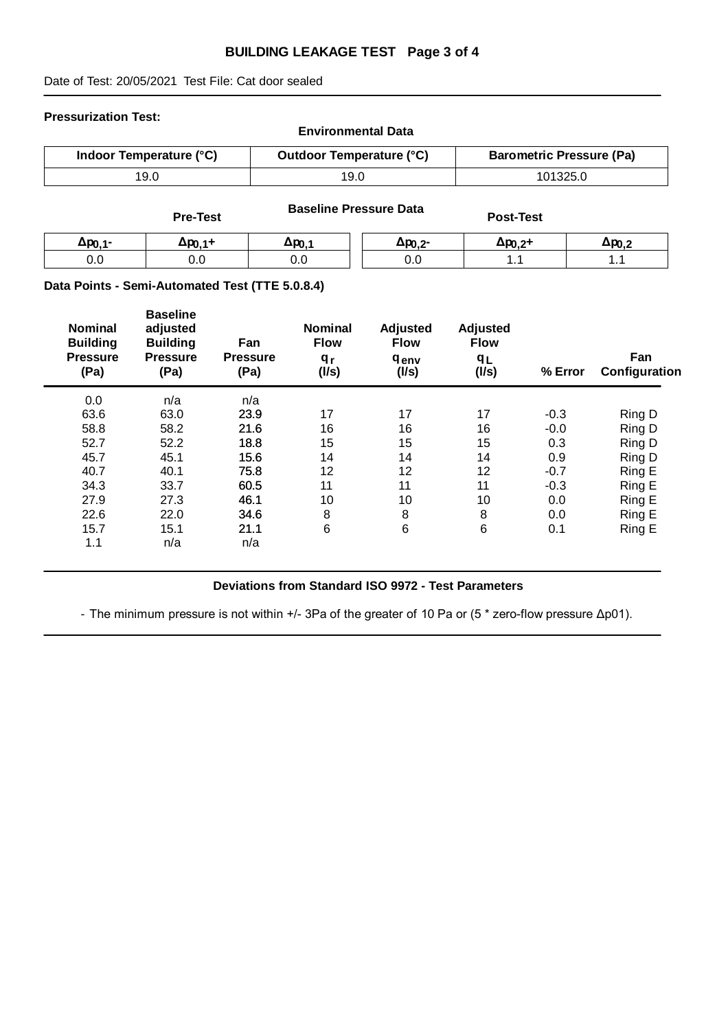#### **BUILDING LEAKAGE TEST Page 3 of 4**

Date of Test: 20/05/2021 Test File: Cat door sealed

#### **Pressurization Test:**

| <b>Environmental Data</b> |                                 |                                 |  |  |  |  |
|---------------------------|---------------------------------|---------------------------------|--|--|--|--|
| Indoor Temperature (°C)   | <b>Outdoor Temperature (°C)</b> | <b>Barometric Pressure (Pa)</b> |  |  |  |  |
| 19.0                      | 19.0                            | 101325.0                        |  |  |  |  |

|                  | <b>Pre-Test</b>     |              | <b>Baseline Pressure Data</b> | <b>Post-Test</b>    |                  |
|------------------|---------------------|--------------|-------------------------------|---------------------|------------------|
| $\Delta p_{0.1}$ | Δp <sub>0.1</sub> + | $\Delta p_0$ | $\Delta p_{0,2}$              | Δp <sub>0.2</sub> + | $\Delta p_{0.2}$ |
| 0.0              | 0.0                 | 0.0          | 0.0                           |                     | л.               |

#### **Data Points - Semi-Automated Test (TTE 5.0.8.4)**

| <b>Nominal</b><br><b>Building</b><br><b>Pressure</b><br>(Pa) | <b>Baseline</b><br>adjusted<br><b>Building</b><br><b>Pressure</b><br>(Pa) | Fan<br><b>Pressure</b><br>(Pa) | <b>Nominal</b><br><b>Flow</b><br>q <sub>r</sub><br>(1/s) | Adjusted<br><b>Flow</b><br><b>genv</b><br>(1/s) | Adjusted<br><b>Flow</b><br>qr<br>(1/s) | % Error | Fan<br>Configuration |
|--------------------------------------------------------------|---------------------------------------------------------------------------|--------------------------------|----------------------------------------------------------|-------------------------------------------------|----------------------------------------|---------|----------------------|
| 0.0                                                          | n/a                                                                       | n/a                            |                                                          |                                                 |                                        |         |                      |
| 63.6                                                         | 63.0                                                                      | 23.9                           | 17                                                       | 17                                              | 17                                     | $-0.3$  | Ring D               |
| 58.8                                                         | 58.2                                                                      | 21.6                           | 16                                                       | 16                                              | 16                                     | $-0.0$  | Ring D               |
| 52.7                                                         | 52.2                                                                      | 18.8                           | 15                                                       | 15                                              | 15                                     | 0.3     | Ring D               |
| 45.7                                                         | 45.1                                                                      | 15.6                           | 14                                                       | 14                                              | 14                                     | 0.9     | Ring D               |
| 40.7                                                         | 40.1                                                                      | 75.8                           | 12                                                       | 12                                              | 12                                     | $-0.7$  | Ring E               |
| 34.3                                                         | 33.7                                                                      | 60.5                           | 11                                                       | 11                                              | 11                                     | $-0.3$  | Ring E               |
| 27.9                                                         | 27.3                                                                      | 46.1                           | 10                                                       | 10                                              | 10                                     | 0.0     | Ring E               |
| 22.6                                                         | 22.0                                                                      | 34.6                           | 8                                                        | 8                                               | 8                                      | 0.0     | Ring E               |
| 15.7                                                         | 15.1                                                                      | 21.1                           | 6                                                        | 6                                               | 6                                      | 0.1     | Ring E               |
| 1.1                                                          | n/a                                                                       | n/a                            |                                                          |                                                 |                                        |         |                      |
|                                                              |                                                                           |                                |                                                          |                                                 |                                        |         |                      |

## **Deviations from Standard ISO 9972 - Test Parameters**

- The minimum pressure is not within +/- 3Pa of the greater of 10 Pa or (5 \* zero-flow pressure Δp01).